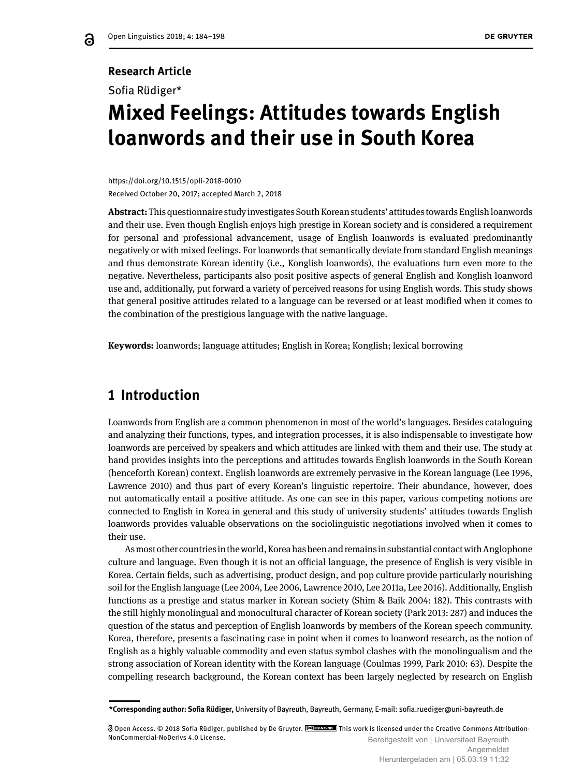#### **Research Article**

ஜ

Sofia Rüdiger\*

# **Mixed Feelings: Attitudes towards English loanwords and their use in South Korea**

https://doi.org/10.1515/opli-2018-0010 Received October 20, 2017; accepted March 2, 2018

**Abstract:** This questionnaire study investigates South Korean students' attitudes towards English loanwords and their use. Even though English enjoys high prestige in Korean society and is considered a requirement for personal and professional advancement, usage of English loanwords is evaluated predominantly negatively or with mixed feelings. For loanwords that semantically deviate from standard English meanings and thus demonstrate Korean identity (i.e., Konglish loanwords), the evaluations turn even more to the negative. Nevertheless, participants also posit positive aspects of general English and Konglish loanword use and, additionally, put forward a variety of perceived reasons for using English words. This study shows that general positive attitudes related to a language can be reversed or at least modified when it comes to the combination of the prestigious language with the native language.

**Keywords:** loanwords; language attitudes; English in Korea; Konglish; lexical borrowing

## **1 Introduction**

Loanwords from English are a common phenomenon in most of the world's languages. Besides cataloguing and analyzing their functions, types, and integration processes, it is also indispensable to investigate how loanwords are perceived by speakers and which attitudes are linked with them and their use. The study at hand provides insights into the perceptions and attitudes towards English loanwords in the South Korean (henceforth Korean) context. English loanwords are extremely pervasive in the Korean language (Lee 1996, Lawrence 2010) and thus part of every Korean's linguistic repertoire. Their abundance, however, does not automatically entail a positive attitude. As one can see in this paper, various competing notions are connected to English in Korea in general and this study of university students' attitudes towards English loanwords provides valuable observations on the sociolinguistic negotiations involved when it comes to their use.

As most other countries in the world, Korea has been and remains in substantial contact with Anglophone culture and language. Even though it is not an official language, the presence of English is very visible in Korea. Certain fields, such as advertising, product design, and pop culture provide particularly nourishing soil for the English language (Lee 2004, Lee 2006, Lawrence 2010, Lee 2011a, Lee 2016). Additionally, English functions as a prestige and status marker in Korean society (Shim & Baik 2004: 182). This contrasts with the still highly monolingual and monocultural character of Korean society (Park 2013: 287) and induces the question of the status and perception of English loanwords by members of the Korean speech community. Korea, therefore, presents a fascinating case in point when it comes to loanword research, as the notion of English as a highly valuable commodity and even status symbol clashes with the monolingualism and the strong association of Korean identity with the Korean language (Coulmas 1999, Park 2010: 63). Despite the compelling research background, the Korean context has been largely neglected by research on English

**<sup>\*</sup>Corresponding author: Sofia Rüdiger,** University of Bayreuth, Bayreuth, Germany, E-mail: sofia.ruediger@uni-bayreuth.de

Open Access. © 2018 Sofia Rüdiger, published by De Gruyter. This work is licensed under the Creative Commons Attribution-NonCommercial-NoDerivs 4.0 License. **Bereitgestellt von | Universitaet Bayreuth** Bereitgestellt von | Universitaet Bayreuth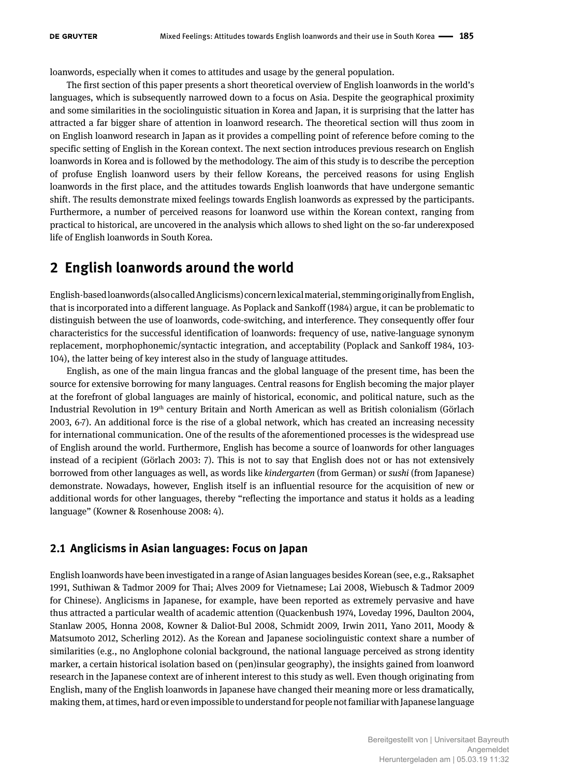loanwords, especially when it comes to attitudes and usage by the general population.

The first section of this paper presents a short theoretical overview of English loanwords in the world's languages, which is subsequently narrowed down to a focus on Asia. Despite the geographical proximity and some similarities in the sociolinguistic situation in Korea and Japan, it is surprising that the latter has attracted a far bigger share of attention in loanword research. The theoretical section will thus zoom in on English loanword research in Japan as it provides a compelling point of reference before coming to the specific setting of English in the Korean context. The next section introduces previous research on English loanwords in Korea and is followed by the methodology. The aim of this study is to describe the perception of profuse English loanword users by their fellow Koreans, the perceived reasons for using English loanwords in the first place, and the attitudes towards English loanwords that have undergone semantic shift. The results demonstrate mixed feelings towards English loanwords as expressed by the participants. Furthermore, a number of perceived reasons for loanword use within the Korean context, ranging from practical to historical, are uncovered in the analysis which allows to shed light on the so-far underexposed life of English loanwords in South Korea.

## **2 English loanwords around the world**

English-based loanwords (also called Anglicisms) concern lexical material, stemming originally from English, that is incorporated into a different language. As Poplack and Sankoff (1984) argue, it can be problematic to distinguish between the use of loanwords, code-switching, and interference. They consequently offer four characteristics for the successful identification of loanwords: frequency of use, native-language synonym replacement, morphophonemic/syntactic integration, and acceptability (Poplack and Sankoff 1984, 103- 104), the latter being of key interest also in the study of language attitudes.

English, as one of the main lingua francas and the global language of the present time, has been the source for extensive borrowing for many languages. Central reasons for English becoming the major player at the forefront of global languages are mainly of historical, economic, and political nature, such as the Industrial Revolution in 19th century Britain and North American as well as British colonialism (Görlach 2003, 6-7). An additional force is the rise of a global network, which has created an increasing necessity for international communication. One of the results of the aforementioned processes is the widespread use of English around the world. Furthermore, English has become a source of loanwords for other languages instead of a recipient (Görlach 2003: 7). This is not to say that English does not or has not extensively borrowed from other languages as well, as words like *kindergarten* (from German) or *sushi* (from Japanese) demonstrate. Nowadays, however, English itself is an influential resource for the acquisition of new or additional words for other languages, thereby "reflecting the importance and status it holds as a leading language" (Kowner & Rosenhouse 2008: 4).

#### **2.1 Anglicisms in Asian languages: Focus on Japan**

English loanwords have been investigated in a range of Asian languages besides Korean (see, e.g., Raksaphet 1991, Suthiwan & Tadmor 2009 for Thai; Alves 2009 for Vietnamese; Lai 2008, Wiebusch & Tadmor 2009 for Chinese). Anglicisms in Japanese, for example, have been reported as extremely pervasive and have thus attracted a particular wealth of academic attention (Quackenbush 1974, Loveday 1996, Daulton 2004, Stanlaw 2005, Honna 2008, Kowner & Daliot-Bul 2008, Schmidt 2009, Irwin 2011, Yano 2011, Moody & Matsumoto 2012, Scherling 2012). As the Korean and Japanese sociolinguistic context share a number of similarities (e.g., no Anglophone colonial background, the national language perceived as strong identity marker, a certain historical isolation based on (pen)insular geography), the insights gained from loanword research in the Japanese context are of inherent interest to this study as well. Even though originating from English, many of the English loanwords in Japanese have changed their meaning more or less dramatically, making them, at times, hard or even impossible to understand for people not familiar with Japanese language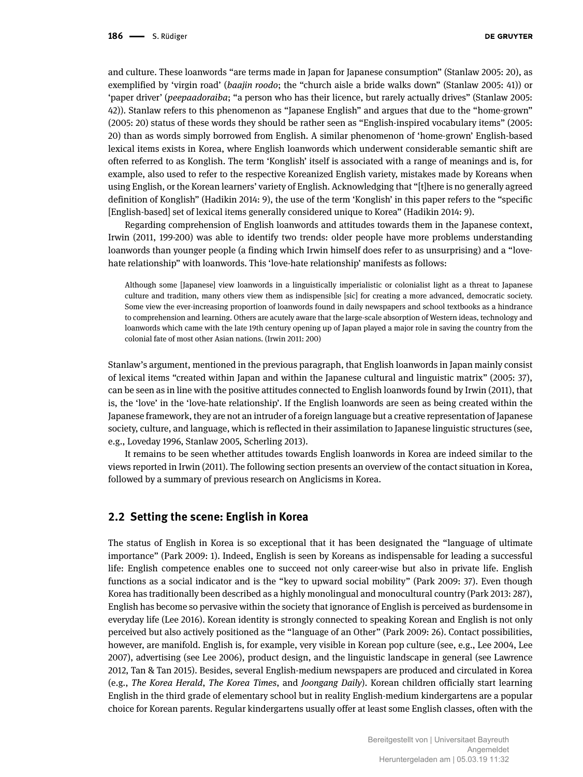and culture. These loanwords "are terms made in Japan for Japanese consumption" (Stanlaw 2005: 20), as exemplified by 'virgin road' (*baajin roodo*; the "church aisle a bride walks down" (Stanlaw 2005: 41)) or 'paper driver' (*peepaadoraiba*; "a person who has their licence, but rarely actually drives" (Stanlaw 2005: 42)). Stanlaw refers to this phenomenon as "Japanese English" and argues that due to the "home-grown" (2005: 20) status of these words they should be rather seen as "English-inspired vocabulary items" (2005: 20) than as words simply borrowed from English. A similar phenomenon of 'home-grown' English-based lexical items exists in Korea, where English loanwords which underwent considerable semantic shift are often referred to as Konglish. The term 'Konglish' itself is associated with a range of meanings and is, for example, also used to refer to the respective Koreanized English variety, mistakes made by Koreans when using English, or the Korean learners' variety of English. Acknowledging that "[t]here is no generally agreed definition of Konglish" (Hadikin 2014: 9), the use of the term 'Konglish' in this paper refers to the "specific [English-based] set of lexical items generally considered unique to Korea" (Hadikin 2014: 9).

Regarding comprehension of English loanwords and attitudes towards them in the Japanese context, Irwin (2011, 199-200) was able to identify two trends: older people have more problems understanding loanwords than younger people (a finding which Irwin himself does refer to as unsurprising) and a "lovehate relationship" with loanwords. This 'love-hate relationship' manifests as follows:

Although some [Japanese] view loanwords in a linguistically imperialistic or colonialist light as a threat to Japanese culture and tradition, many others view them as indispensible [sic] for creating a more advanced, democratic society. Some view the ever-increasing proportion of loanwords found in daily newspapers and school textbooks as a hindrance to comprehension and learning. Others are acutely aware that the large-scale absorption of Western ideas, technology and loanwords which came with the late 19th century opening up of Japan played a major role in saving the country from the colonial fate of most other Asian nations. (Irwin 2011: 200)

Stanlaw's argument, mentioned in the previous paragraph, that English loanwords in Japan mainly consist of lexical items "created within Japan and within the Japanese cultural and linguistic matrix" (2005: 37), can be seen as in line with the positive attitudes connected to English loanwords found by Irwin (2011), that is, the 'love' in the 'love-hate relationship'. If the English loanwords are seen as being created within the Japanese framework, they are not an intruder of a foreign language but a creative representation of Japanese society, culture, and language, which is reflected in their assimilation to Japanese linguistic structures (see, e.g., Loveday 1996, Stanlaw 2005, Scherling 2013).

It remains to be seen whether attitudes towards English loanwords in Korea are indeed similar to the views reported in Irwin (2011). The following section presents an overview of the contact situation in Korea, followed by a summary of previous research on Anglicisms in Korea.

#### **2.2 Setting the scene: English in Korea**

The status of English in Korea is so exceptional that it has been designated the "language of ultimate importance" (Park 2009: 1). Indeed, English is seen by Koreans as indispensable for leading a successful life: English competence enables one to succeed not only career-wise but also in private life. English functions as a social indicator and is the "key to upward social mobility" (Park 2009: 37). Even though Korea has traditionally been described as a highly monolingual and monocultural country (Park 2013: 287), English has become so pervasive within the society that ignorance of English is perceived as burdensome in everyday life (Lee 2016). Korean identity is strongly connected to speaking Korean and English is not only perceived but also actively positioned as the "language of an Other" (Park 2009: 26). Contact possibilities, however, are manifold. English is, for example, very visible in Korean pop culture (see, e.g., Lee 2004, Lee 2007), advertising (see Lee 2006), product design, and the linguistic landscape in general (see Lawrence 2012, Tan & Tan 2015). Besides, several English-medium newspapers are produced and circulated in Korea (e.g., *The Korea Herald*, *The Korea Times*, and *Joongang Daily*). Korean children officially start learning English in the third grade of elementary school but in reality English-medium kindergartens are a popular choice for Korean parents. Regular kindergartens usually offer at least some English classes, often with the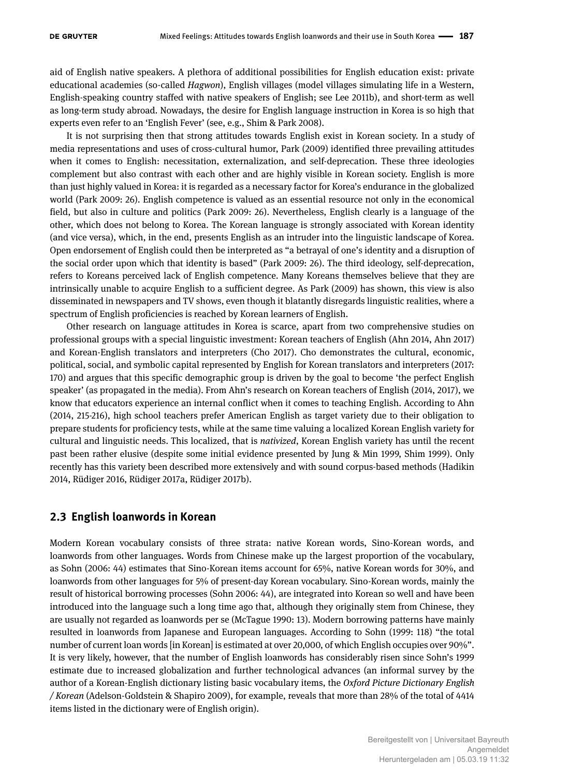aid of English native speakers. A plethora of additional possibilities for English education exist: private educational academies (so-called *Hagwon*), English villages (model villages simulating life in a Western, English-speaking country staffed with native speakers of English; see Lee 2011b), and short-term as well as long-term study abroad. Nowadays, the desire for English language instruction in Korea is so high that experts even refer to an 'English Fever' (see, e.g., Shim & Park 2008).

It is not surprising then that strong attitudes towards English exist in Korean society. In a study of media representations and uses of cross-cultural humor, Park (2009) identified three prevailing attitudes when it comes to English: necessitation, externalization, and self-deprecation. These three ideologies complement but also contrast with each other and are highly visible in Korean society. English is more than just highly valued in Korea: it is regarded as a necessary factor for Korea's endurance in the globalized world (Park 2009: 26). English competence is valued as an essential resource not only in the economical field, but also in culture and politics (Park 2009: 26). Nevertheless, English clearly is a language of the other, which does not belong to Korea. The Korean language is strongly associated with Korean identity (and vice versa), which, in the end, presents English as an intruder into the linguistic landscape of Korea. Open endorsement of English could then be interpreted as "a betrayal of one's identity and a disruption of the social order upon which that identity is based" (Park 2009: 26). The third ideology, self-deprecation, refers to Koreans perceived lack of English competence. Many Koreans themselves believe that they are intrinsically unable to acquire English to a sufficient degree. As Park (2009) has shown, this view is also disseminated in newspapers and TV shows, even though it blatantly disregards linguistic realities, where a spectrum of English proficiencies is reached by Korean learners of English.

Other research on language attitudes in Korea is scarce, apart from two comprehensive studies on professional groups with a special linguistic investment: Korean teachers of English (Ahn 2014, Ahn 2017) and Korean-English translators and interpreters (Cho 2017). Cho demonstrates the cultural, economic, political, social, and symbolic capital represented by English for Korean translators and interpreters (2017: 170) and argues that this specific demographic group is driven by the goal to become 'the perfect English speaker' (as propagated in the media). From Ahn's research on Korean teachers of English (2014, 2017), we know that educators experience an internal conflict when it comes to teaching English. According to Ahn (2014, 215-216), high school teachers prefer American English as target variety due to their obligation to prepare students for proficiency tests, while at the same time valuing a localized Korean English variety for cultural and linguistic needs. This localized, that is *nativized*, Korean English variety has until the recent past been rather elusive (despite some initial evidence presented by Jung & Min 1999, Shim 1999). Only recently has this variety been described more extensively and with sound corpus-based methods (Hadikin 2014, Rüdiger 2016, Rüdiger 2017a, Rüdiger 2017b).

#### **2.3 English loanwords in Korean**

Modern Korean vocabulary consists of three strata: native Korean words, Sino-Korean words, and loanwords from other languages. Words from Chinese make up the largest proportion of the vocabulary, as Sohn (2006: 44) estimates that Sino-Korean items account for 65%, native Korean words for 30%, and loanwords from other languages for 5% of present-day Korean vocabulary. Sino-Korean words, mainly the result of historical borrowing processes (Sohn 2006: 44), are integrated into Korean so well and have been introduced into the language such a long time ago that, although they originally stem from Chinese, they are usually not regarded as loanwords per se (McTague 1990: 13). Modern borrowing patterns have mainly resulted in loanwords from Japanese and European languages. According to Sohn (1999: 118) "the total number of current loan words [in Korean] is estimated at over 20,000, of which English occupies over 90%". It is very likely, however, that the number of English loanwords has considerably risen since Sohn's 1999 estimate due to increased globalization and further technological advances (an informal survey by the author of a Korean-English dictionary listing basic vocabulary items, the *Oxford Picture Dictionary English / Korean* (Adelson-Goldstein & Shapiro 2009), for example, reveals that more than 28% of the total of 4414 items listed in the dictionary were of English origin).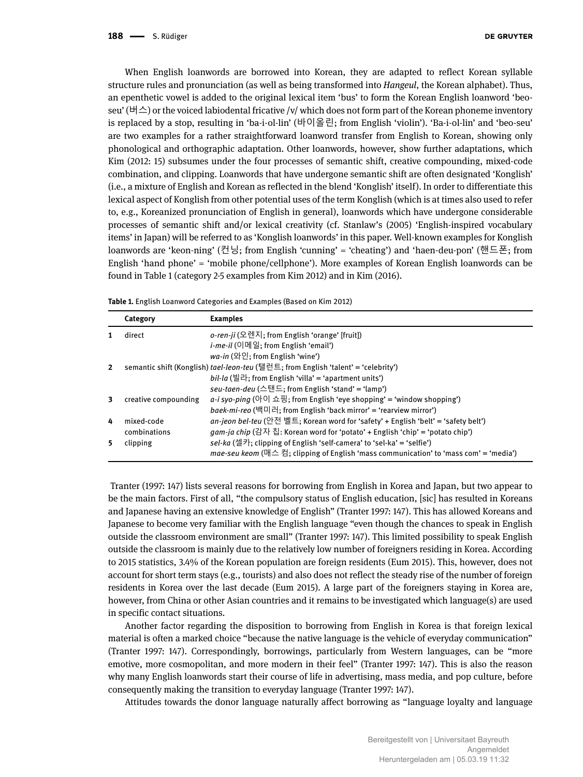When English loanwords are borrowed into Korean, they are adapted to reflect Korean syllable structure rules and pronunciation (as well as being transformed into *Hangeul*, the Korean alphabet). Thus, an epenthetic vowel is added to the original lexical item 'bus' to form the Korean English loanword 'beoseu' (버스) or the voiced labiodental fricative /v/ which does not form part of the Korean phoneme inventory is replaced by a stop, resulting in 'ba-i-ol-lin' (바이올린; from English 'violin'). 'Ba-i-ol-lin' and 'beo-seu' are two examples for a rather straightforward loanword transfer from English to Korean, showing only phonological and orthographic adaptation. Other loanwords, however, show further adaptations, which Kim (2012: 15) subsumes under the four processes of semantic shift, creative compounding, mixed-code combination, and clipping. Loanwords that have undergone semantic shift are often designated 'Konglish' (i.e., a mixture of English and Korean as reflected in the blend 'Konglish' itself). In order to differentiate this lexical aspect of Konglish from other potential uses of the term Konglish (which is at times also used to refer to, e.g., Koreanized pronunciation of English in general), loanwords which have undergone considerable processes of semantic shift and/or lexical creativity (cf. Stanlaw's (2005) 'English-inspired vocabulary items' in Japan) will be referred to as 'Konglish loanwords' in this paper. Well-known examples for Konglish loanwords are 'keon-ning' (컨닝; from English 'cunning' = 'cheating') and 'haen-deu-pon' (핸드폰; from English 'hand phone' = 'mobile phone/cellphone'). More examples of Korean English loanwords can be found in Table 1 (category 2-5 examples from Kim 2012) and in Kim (2016).

|                | Category             | <b>Examples</b>                                                                       |
|----------------|----------------------|---------------------------------------------------------------------------------------|
|                | direct               | o-ren-ji (오렌지; from English 'orange' [fruit])                                         |
|                |                      | i-me-il (이메일; from English 'email')                                                   |
|                |                      | wa-in (와인: from English 'wine')                                                       |
| $\overline{2}$ |                      | semantic shift (Konglish) tael-leon-teu (탤런트; from English 'talent' = 'celebrity')    |
|                |                      | bil-la (빌라; from English 'villa' = 'apartment units')                                 |
|                |                      | seu-taen-deu (스탠드; from English 'stand' = 'lamp')                                     |
| 3              | creative compounding | a-i syo-ping (아이 쇼핑; from English 'eye shopping' = 'window shopping')                 |
|                |                      | baek-mi-reo (백미러; from English 'back mirror' = 'rearview mirror')                     |
| 4              | mixed-code           | an-jeon bel-teu (안전 벨트; Korean word for 'safety' + English 'belt' = 'safety belt')    |
|                | combinations         | gam-ja chip (감자 칩: Korean word for 'potato' + English 'chip' = 'potato chip')         |
| 5.             | clipping             | sel-ka (셀카; clipping of English 'self-camera' to 'sel-ka' = 'selfie')                 |
|                |                      | mae-seu keom (매스 컴; clipping of English 'mass communication' to 'mass com' = 'media') |

**Table 1.** English Loanword Categories and Examples (Based on Kim 2012)

 Tranter (1997: 147) lists several reasons for borrowing from English in Korea and Japan, but two appear to be the main factors. First of all, "the compulsory status of English education, [sic] has resulted in Koreans and Japanese having an extensive knowledge of English" (Tranter 1997: 147). This has allowed Koreans and Japanese to become very familiar with the English language "even though the chances to speak in English outside the classroom environment are small" (Tranter 1997: 147). This limited possibility to speak English outside the classroom is mainly due to the relatively low number of foreigners residing in Korea. According to 2015 statistics, 3.4% of the Korean population are foreign residents (Eum 2015). This, however, does not account for short term stays (e.g., tourists) and also does not reflect the steady rise of the number of foreign residents in Korea over the last decade (Eum 2015). A large part of the foreigners staying in Korea are, however, from China or other Asian countries and it remains to be investigated which language(s) are used in specific contact situations.

Another factor regarding the disposition to borrowing from English in Korea is that foreign lexical material is often a marked choice "because the native language is the vehicle of everyday communication" (Tranter 1997: 147). Correspondingly, borrowings, particularly from Western languages, can be "more emotive, more cosmopolitan, and more modern in their feel" (Tranter 1997: 147). This is also the reason why many English loanwords start their course of life in advertising, mass media, and pop culture, before consequently making the transition to everyday language (Tranter 1997: 147).

Attitudes towards the donor language naturally affect borrowing as "language loyalty and language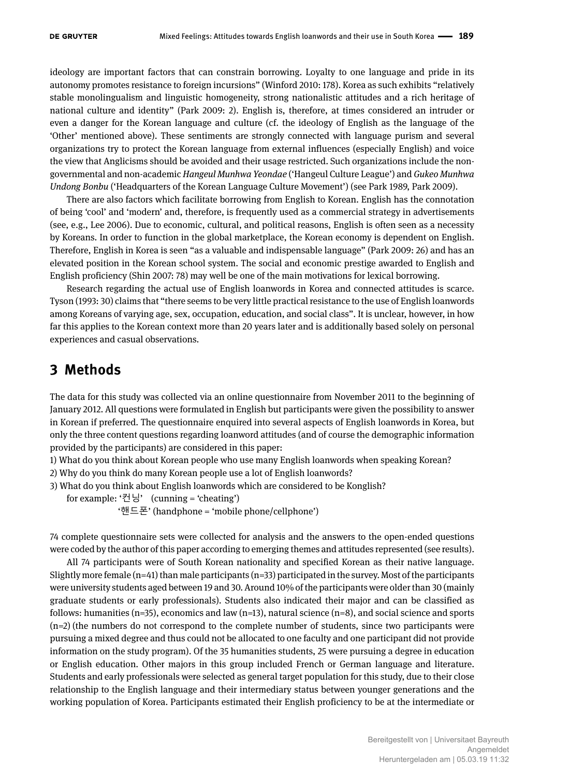ideology are important factors that can constrain borrowing. Loyalty to one language and pride in its autonomy promotes resistance to foreign incursions" (Winford 2010: 178). Korea as such exhibits "relatively stable monolingualism and linguistic homogeneity, strong nationalistic attitudes and a rich heritage of national culture and identity" (Park 2009: 2). English is, therefore, at times considered an intruder or even a danger for the Korean language and culture (cf. the ideology of English as the language of the 'Other' mentioned above). These sentiments are strongly connected with language purism and several organizations try to protect the Korean language from external influences (especially English) and voice the view that Anglicisms should be avoided and their usage restricted. Such organizations include the nongovernmental and non-academic *Hangeul Munhwa Yeondae* ('Hangeul Culture League') and *Gukeo Munhwa Undong Bonbu* ('Headquarters of the Korean Language Culture Movement') (see Park 1989, Park 2009).

There are also factors which facilitate borrowing from English to Korean. English has the connotation of being 'cool' and 'modern' and, therefore, is frequently used as a commercial strategy in advertisements (see, e.g., Lee 2006). Due to economic, cultural, and political reasons, English is often seen as a necessity by Koreans. In order to function in the global marketplace, the Korean economy is dependent on English. Therefore, English in Korea is seen "as a valuable and indispensable language" (Park 2009: 26) and has an elevated position in the Korean school system. The social and economic prestige awarded to English and English proficiency (Shin 2007: 78) may well be one of the main motivations for lexical borrowing.

Research regarding the actual use of English loanwords in Korea and connected attitudes is scarce. Tyson (1993: 30) claims that "there seems to be very little practical resistance to the use of English loanwords among Koreans of varying age, sex, occupation, education, and social class". It is unclear, however, in how far this applies to the Korean context more than 20 years later and is additionally based solely on personal experiences and casual observations.

## **3 Methods**

The data for this study was collected via an online questionnaire from November 2011 to the beginning of January 2012. All questions were formulated in English but participants were given the possibility to answer in Korean if preferred. The questionnaire enquired into several aspects of English loanwords in Korea, but only the three content questions regarding loanword attitudes (and of course the demographic information provided by the participants) are considered in this paper:

1) What do you think about Korean people who use many English loanwords when speaking Korean?

2) Why do you think do many Korean people use a lot of English loanwords?

3) What do you think about English loanwords which are considered to be Konglish?

for example: '컨닝' (cunning = 'cheating')

'핸드폰' (handphone = 'mobile phone/cellphone')

74 complete questionnaire sets were collected for analysis and the answers to the open-ended questions were coded by the author of this paper according to emerging themes and attitudes represented (see results).

All 74 participants were of South Korean nationality and specified Korean as their native language. Slightly more female  $(n=41)$  than male participants  $(n=33)$  participated in the survey. Most of the participants were university students aged between 19 and 30. Around 10% of the participants were older than 30 (mainly graduate students or early professionals). Students also indicated their major and can be classified as follows: humanities (n=35), economics and law (n=13), natural science (n=8), and social science and sports (n=2) (the numbers do not correspond to the complete number of students, since two participants were pursuing a mixed degree and thus could not be allocated to one faculty and one participant did not provide information on the study program). Of the 35 humanities students, 25 were pursuing a degree in education or English education. Other majors in this group included French or German language and literature. Students and early professionals were selected as general target population for this study, due to their close relationship to the English language and their intermediary status between younger generations and the working population of Korea. Participants estimated their English proficiency to be at the intermediate or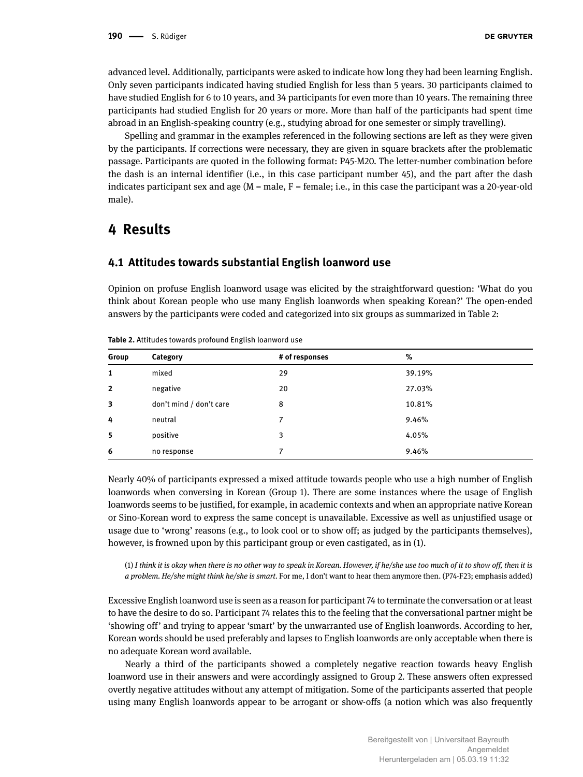advanced level. Additionally, participants were asked to indicate how long they had been learning English. Only seven participants indicated having studied English for less than 5 years. 30 participants claimed to have studied English for 6 to 10 years, and 34 participants for even more than 10 years. The remaining three participants had studied English for 20 years or more. More than half of the participants had spent time abroad in an English-speaking country (e.g., studying abroad for one semester or simply travelling).

Spelling and grammar in the examples referenced in the following sections are left as they were given by the participants. If corrections were necessary, they are given in square brackets after the problematic passage. Participants are quoted in the following format: P45-M20. The letter-number combination before the dash is an internal identifier (i.e., in this case participant number 45), and the part after the dash indicates participant sex and age ( $M = male$ ,  $F = female$ ; i.e., in this case the participant was a 20-year-old male).

## **4 Results**

#### **4.1 Attitudes towards substantial English loanword use**

Opinion on profuse English loanword usage was elicited by the straightforward question: 'What do you think about Korean people who use many English loanwords when speaking Korean?' The open-ended answers by the participants were coded and categorized into six groups as summarized in Table 2:

| Group          | Category                | # of responses | %      |  |
|----------------|-------------------------|----------------|--------|--|
| 1              | mixed                   | 29             | 39.19% |  |
| $\overline{2}$ | negative                | 20             | 27.03% |  |
| 3              | don't mind / don't care | 8              | 10.81% |  |
| 4              | neutral                 |                | 9.46%  |  |
| 5              | positive                | 3              | 4.05%  |  |
| 6              | no response             |                | 9.46%  |  |

**Table 2.** Attitudes towards profound English loanword use

Nearly 40% of participants expressed a mixed attitude towards people who use a high number of English loanwords when conversing in Korean (Group 1). There are some instances where the usage of English loanwords seems to be justified, for example, in academic contexts and when an appropriate native Korean or Sino-Korean word to express the same concept is unavailable. Excessive as well as unjustified usage or usage due to 'wrong' reasons (e.g., to look cool or to show off; as judged by the participants themselves), however, is frowned upon by this participant group or even castigated, as in (1).

(1) *I think it is okay when there is no other way to speak in Korean. However, if he/she use too much of it to show off, then it is a problem. He/she might think he/she is smart.* For me, I don't want to hear them anymore then. (P74-F23; emphasis added)

Excessive English loanword use is seen as a reason for participant 74 to terminate the conversation or at least to have the desire to do so. Participant 74 relates this to the feeling that the conversational partner might be 'showing off' and trying to appear 'smart' by the unwarranted use of English loanwords. According to her, Korean words should be used preferably and lapses to English loanwords are only acceptable when there is no adequate Korean word available.

Nearly a third of the participants showed a completely negative reaction towards heavy English loanword use in their answers and were accordingly assigned to Group 2. These answers often expressed overtly negative attitudes without any attempt of mitigation. Some of the participants asserted that people using many English loanwords appear to be arrogant or show-offs (a notion which was also frequently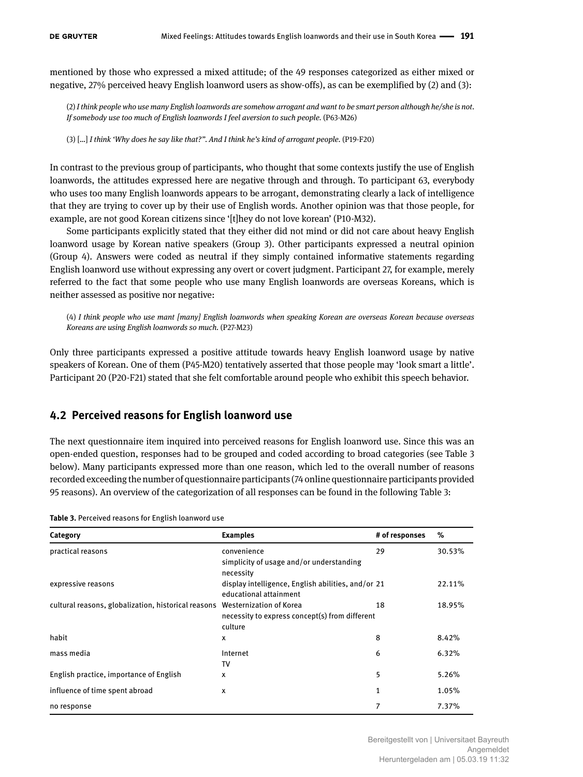mentioned by those who expressed a mixed attitude; of the 49 responses categorized as either mixed or negative, 27% perceived heavy English loanword users as show-offs), as can be exemplified by (2) and (3):

(2) *I think people who use many English loanwords are somehow arrogant and want to be smart person although he/she is not. If somebody use too much of English loanwords I feel aversion to such people.* (P63-M26)

(3) […] *I think 'Why does he say like that?". And I think he's kind of arrogant people.* (P19-F20)

In contrast to the previous group of participants, who thought that some contexts justify the use of English loanwords, the attitudes expressed here are negative through and through. To participant 63, everybody who uses too many English loanwords appears to be arrogant, demonstrating clearly a lack of intelligence that they are trying to cover up by their use of English words. Another opinion was that those people, for example, are not good Korean citizens since '[t]hey do not love korean' (P10-M32).

Some participants explicitly stated that they either did not mind or did not care about heavy English loanword usage by Korean native speakers (Group 3). Other participants expressed a neutral opinion (Group 4). Answers were coded as neutral if they simply contained informative statements regarding English loanword use without expressing any overt or covert judgment. Participant 27, for example, merely referred to the fact that some people who use many English loanwords are overseas Koreans, which is neither assessed as positive nor negative:

(4) *I think people who use mant [many] English loanwords when speaking Korean are overseas Korean because overseas Koreans are using English loanwords so much.* (P27-M23)

Only three participants expressed a positive attitude towards heavy English loanword usage by native speakers of Korean. One of them (P45-M20) tentatively asserted that those people may 'look smart a little'. Participant 20 (P20-F21) stated that she felt comfortable around people who exhibit this speech behavior.

#### **4.2 Perceived reasons for English loanword use**

The next questionnaire item inquired into perceived reasons for English loanword use. Since this was an open-ended question, responses had to be grouped and coded according to broad categories (see Table 3 below). Many participants expressed more than one reason, which led to the overall number of reasons recorded exceeding the number of questionnaire participants (74 online questionnaire participants provided 95 reasons). An overview of the categorization of all responses can be found in the following Table 3:

| Category                                                                    | <b>Examples</b>                                                              | # of responses | %      |
|-----------------------------------------------------------------------------|------------------------------------------------------------------------------|----------------|--------|
| practical reasons                                                           | convenience<br>simplicity of usage and/or understanding<br>necessity         | 29             | 30.53% |
| expressive reasons                                                          | display intelligence, English abilities, and/or 21<br>educational attainment |                | 22.11% |
| cultural reasons, globalization, historical reasons Westernization of Korea | 18<br>necessity to express concept(s) from different<br>culture              |                | 18.95% |
| habit                                                                       | X                                                                            | 8              | 8.42%  |
| mass media                                                                  | Internet<br>TV                                                               | 6              | 6.32%  |
| English practice, importance of English                                     | x                                                                            | 5              | 5.26%  |
| influence of time spent abroad                                              | x                                                                            | $\mathbf{1}$   | 1.05%  |
| no response                                                                 |                                                                              | 7              | 7.37%  |

**Table 3.** Perceived reasons for English loanword use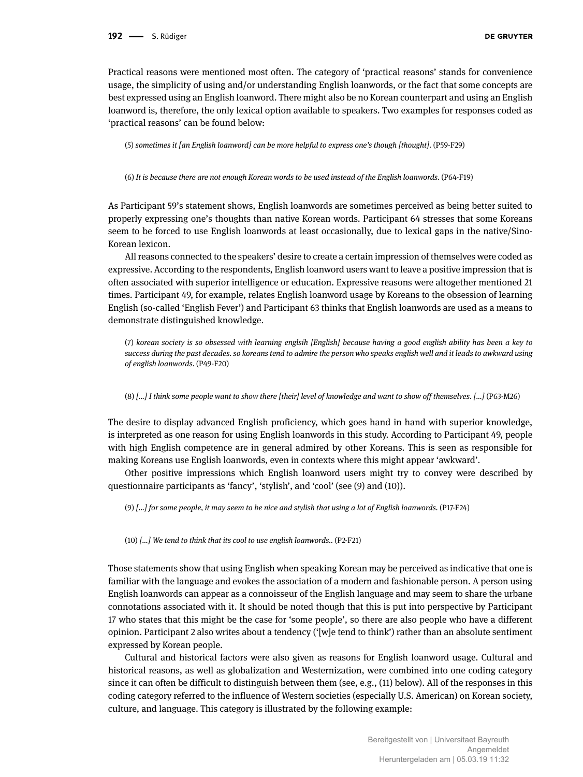Practical reasons were mentioned most often. The category of 'practical reasons' stands for convenience usage, the simplicity of using and/or understanding English loanwords, or the fact that some concepts are best expressed using an English loanword. There might also be no Korean counterpart and using an English loanword is, therefore, the only lexical option available to speakers. Two examples for responses coded as 'practical reasons' can be found below:

(5) *sometimes it [an English loanword] can be more helpful to express one's though [thought].* (P59-F29)

(6) *It is because there are not enough Korean words to be used instead of the English loanwords.* (P64-F19)

As Participant 59's statement shows, English loanwords are sometimes perceived as being better suited to properly expressing one's thoughts than native Korean words. Participant 64 stresses that some Koreans seem to be forced to use English loanwords at least occasionally, due to lexical gaps in the native/Sino-Korean lexicon.

All reasons connected to the speakers' desire to create a certain impression of themselves were coded as expressive. According to the respondents, English loanword users want to leave a positive impression that is often associated with superior intelligence or education. Expressive reasons were altogether mentioned 21 times. Participant 49, for example, relates English loanword usage by Koreans to the obsession of learning English (so-called 'English Fever') and Participant 63 thinks that English loanwords are used as a means to demonstrate distinguished knowledge.

(7) *korean society is so obsessed with learning englsih [English] because having a good english ability has been a key to success during the past decades. so koreans tend to admire the person who speaks english well and it leads to awkward using of english loanwords.* (P49-F20)

(8) *[…] I think some people want to show there [their] level of knowledge and want to show off themselves. […]* (P63-M26)

The desire to display advanced English proficiency, which goes hand in hand with superior knowledge, is interpreted as one reason for using English loanwords in this study. According to Participant 49, people with high English competence are in general admired by other Koreans. This is seen as responsible for making Koreans use English loanwords, even in contexts where this might appear 'awkward'.

Other positive impressions which English loanword users might try to convey were described by questionnaire participants as 'fancy', 'stylish', and 'cool' (see (9) and (10)).

(9) *[…] for some people, it may seem to be nice and stylish that using a lot of English loanwords.* (P17-F24)

(10) *[…] We tend to think that its cool to use english loanwords..* (P2-F21)

Those statements show that using English when speaking Korean may be perceived as indicative that one is familiar with the language and evokes the association of a modern and fashionable person. A person using English loanwords can appear as a connoisseur of the English language and may seem to share the urbane connotations associated with it. It should be noted though that this is put into perspective by Participant 17 who states that this might be the case for 'some people', so there are also people who have a different opinion. Participant 2 also writes about a tendency ('[w]e tend to think') rather than an absolute sentiment expressed by Korean people.

Cultural and historical factors were also given as reasons for English loanword usage. Cultural and historical reasons, as well as globalization and Westernization, were combined into one coding category since it can often be difficult to distinguish between them (see, e.g., (11) below). All of the responses in this coding category referred to the influence of Western societies (especially U.S. American) on Korean society, culture, and language. This category is illustrated by the following example: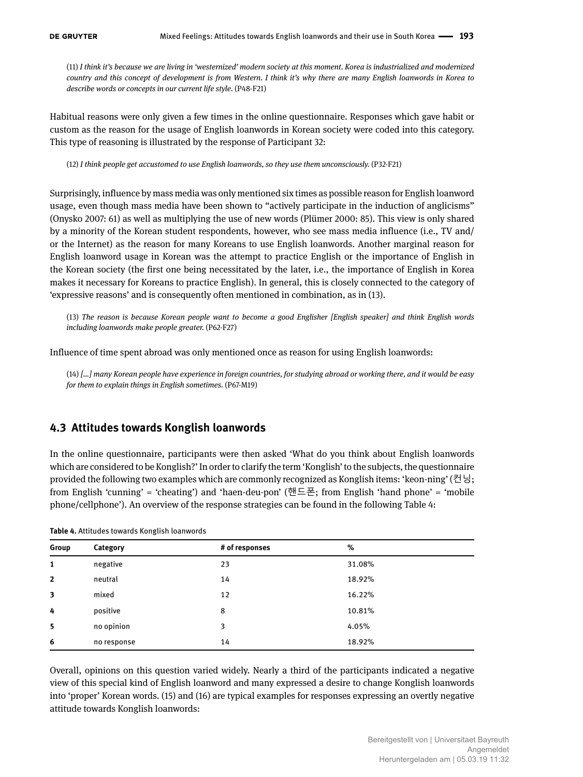(11) *I think it's because we are living in 'westernized' modern society at this moment. Korea is industrialized and modernized country and this concept of development is from Western. I think it's why there are many English loanwords in Korea to describe words or concepts in our current life style.* (P48-F21)

Habitual reasons were only given a few times in the online questionnaire. Responses which gave habit or custom as the reason for the usage of English loanwords in Korean society were coded into this category. This type of reasoning is illustrated by the response of Participant 32:

(12) *I think people get accustomed to use English loanwords, so they use them unconsciously.* (P32-F21)

Surprisingly, influence by mass media was only mentioned six times as possible reason for English loanword usage, even though mass media have been shown to "actively participate in the induction of anglicisms" (Onysko 2007: 61) as well as multiplying the use of new words (Plümer 2000: 85). This view is only shared by a minority of the Korean student respondents, however, who see mass media influence (i.e., TV and/ or the Internet) as the reason for many Koreans to use English loanwords. Another marginal reason for English loanword usage in Korean was the attempt to practice English or the importance of English in the Korean society (the first one being necessitated by the later, i.e., the importance of English in Korea makes it necessary for Koreans to practice English). In general, this is closely connected to the category of 'expressive reasons' and is consequently often mentioned in combination, as in (13).

(13) *The reason is because Korean people want to become a good Englisher [English speaker] and think English words including loanwords make people greater.* (P62-F27)

Influence of time spent abroad was only mentioned once as reason for using English loanwords:

(14) *[…] many Korean people have experience in foreign countries, for studying abroad or working there, and it would be easy for them to explain things in English sometimes.* (P67-M19)

#### **4.3 Attitudes towards Konglish loanwords**

In the online questionnaire, participants were then asked 'What do you think about English loanwords which are considered to be Konglish?' In order to clarify the term 'Konglish' to the subjects, the questionnaire provided the following two examples which are commonly recognized as Konglish items: 'keon-ning' (컨닝; from English 'cunning' = 'cheating') and 'haen-deu-pon' (핸드폰; from English 'hand phone' = 'mobile phone/cellphone'). An overview of the response strategies can be found in the following Table 4:

| Group          | Category    | # of responses | %      |  |
|----------------|-------------|----------------|--------|--|
| $\mathbf{1}$   | negative    | 23             | 31.08% |  |
| $\overline{2}$ | neutral     | 14             | 18.92% |  |
| 3              | mixed       | 12             | 16.22% |  |
| 4              | positive    | 8              | 10.81% |  |
| 5              | no opinion  | 3              | 4.05%  |  |
| 6              | no response | 14             | 18.92% |  |

**Table 4.** Attitudes towards Konglish loanwords

Overall, opinions on this question varied widely. Nearly a third of the participants indicated a negative view of this special kind of English loanword and many expressed a desire to change Konglish loanwords into 'proper' Korean words. (15) and (16) are typical examples for responses expressing an overtly negative attitude towards Konglish loanwords: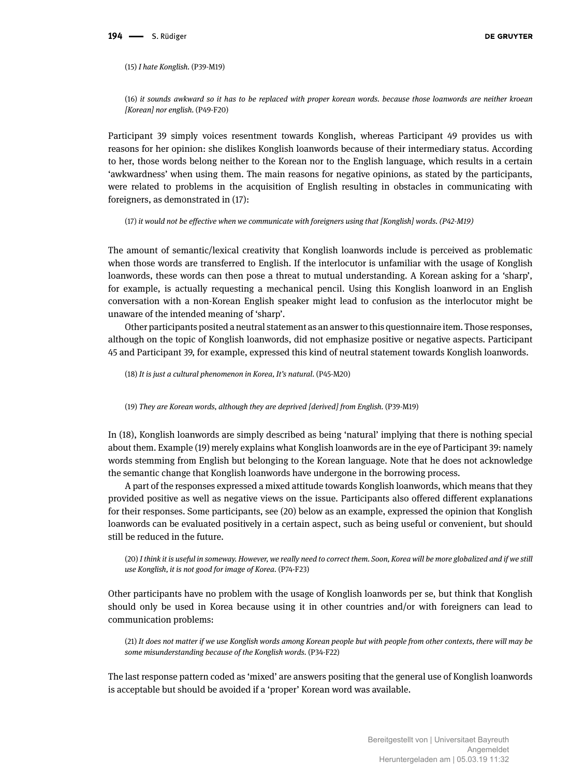**194 - S. Rüdiger** 

(15) *I hate Konglish.* (P39-M19)

(16) *it sounds awkward so it has to be replaced with proper korean words. because those loanwords are neither kroean [Korean] nor english.* (P49-F20)

Participant 39 simply voices resentment towards Konglish, whereas Participant 49 provides us with reasons for her opinion: she dislikes Konglish loanwords because of their intermediary status. According to her, those words belong neither to the Korean nor to the English language, which results in a certain 'awkwardness' when using them. The main reasons for negative opinions, as stated by the participants, were related to problems in the acquisition of English resulting in obstacles in communicating with foreigners, as demonstrated in (17):

```
(17) it would not be effective when we communicate with foreigners using that [Konglish] words. (P42-M19)
```
The amount of semantic/lexical creativity that Konglish loanwords include is perceived as problematic when those words are transferred to English. If the interlocutor is unfamiliar with the usage of Konglish loanwords, these words can then pose a threat to mutual understanding. A Korean asking for a 'sharp', for example, is actually requesting a mechanical pencil. Using this Konglish loanword in an English conversation with a non-Korean English speaker might lead to confusion as the interlocutor might be unaware of the intended meaning of 'sharp'.

Other participants posited a neutral statement as an answer to this questionnaire item. Those responses, although on the topic of Konglish loanwords, did not emphasize positive or negative aspects. Participant 45 and Participant 39, for example, expressed this kind of neutral statement towards Konglish loanwords.

(18) *It is just a cultural phenomenon in Korea, It's natural.* (P45-M20)

(19) *They are Korean words, although they are deprived [derived] from English.* (P39-M19)

In (18), Konglish loanwords are simply described as being 'natural' implying that there is nothing special about them. Example (19) merely explains what Konglish loanwords are in the eye of Participant 39: namely words stemming from English but belonging to the Korean language. Note that he does not acknowledge the semantic change that Konglish loanwords have undergone in the borrowing process.

A part of the responses expressed a mixed attitude towards Konglish loanwords, which means that they provided positive as well as negative views on the issue. Participants also offered different explanations for their responses. Some participants, see (20) below as an example, expressed the opinion that Konglish loanwords can be evaluated positively in a certain aspect, such as being useful or convenient, but should still be reduced in the future.

(20) *I think it is useful in someway. However, we really need to correct them. Soon, Korea will be more globalized and if we still use Konglish, it is not good for image of Korea.* (P74-F23)

Other participants have no problem with the usage of Konglish loanwords per se, but think that Konglish should only be used in Korea because using it in other countries and/or with foreigners can lead to communication problems:

(21) *It does not matter if we use Konglish words among Korean people but with people from other contexts, there will may be some misunderstanding because of the Konglish words.* (P34-F22)

The last response pattern coded as 'mixed' are answers positing that the general use of Konglish loanwords is acceptable but should be avoided if a 'proper' Korean word was available.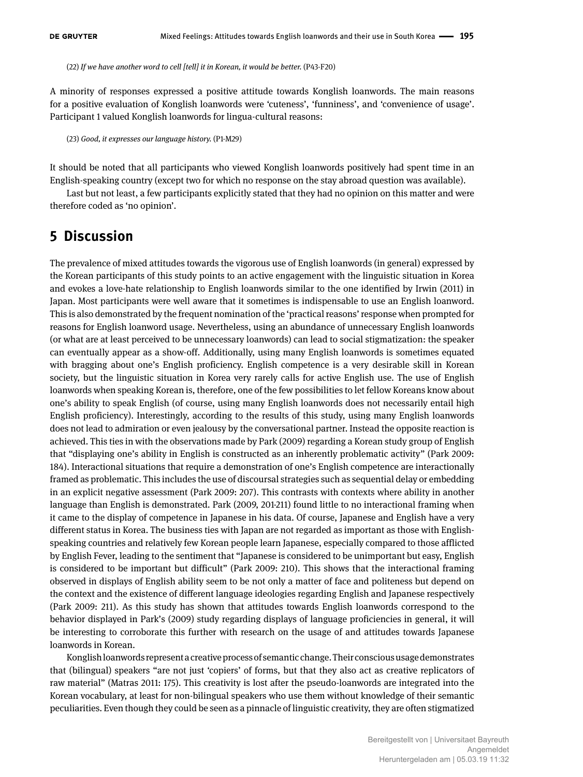#### (22) *If we have another word to cell [tell] it in Korean, it would be better.* (P43-F20)

A minority of responses expressed a positive attitude towards Konglish loanwords. The main reasons for a positive evaluation of Konglish loanwords were 'cuteness', 'funniness', and 'convenience of usage'. Participant 1 valued Konglish loanwords for lingua-cultural reasons:

(23) *Good, it expresses our language history.* (P1-M29)

It should be noted that all participants who viewed Konglish loanwords positively had spent time in an English-speaking country (except two for which no response on the stay abroad question was available).

Last but not least, a few participants explicitly stated that they had no opinion on this matter and were therefore coded as 'no opinion'.

## **5 Discussion**

The prevalence of mixed attitudes towards the vigorous use of English loanwords (in general) expressed by the Korean participants of this study points to an active engagement with the linguistic situation in Korea and evokes a love-hate relationship to English loanwords similar to the one identified by Irwin (2011) in Japan. Most participants were well aware that it sometimes is indispensable to use an English loanword. This is also demonstrated by the frequent nomination of the 'practical reasons' response when prompted for reasons for English loanword usage. Nevertheless, using an abundance of unnecessary English loanwords (or what are at least perceived to be unnecessary loanwords) can lead to social stigmatization: the speaker can eventually appear as a show-off. Additionally, using many English loanwords is sometimes equated with bragging about one's English proficiency. English competence is a very desirable skill in Korean society, but the linguistic situation in Korea very rarely calls for active English use. The use of English loanwords when speaking Korean is, therefore, one of the few possibilities to let fellow Koreans know about one's ability to speak English (of course, using many English loanwords does not necessarily entail high English proficiency). Interestingly, according to the results of this study, using many English loanwords does not lead to admiration or even jealousy by the conversational partner. Instead the opposite reaction is achieved. This ties in with the observations made by Park (2009) regarding a Korean study group of English that "displaying one's ability in English is constructed as an inherently problematic activity" (Park 2009: 184). Interactional situations that require a demonstration of one's English competence are interactionally framed as problematic. This includes the use of discoursal strategies such as sequential delay or embedding in an explicit negative assessment (Park 2009: 207). This contrasts with contexts where ability in another language than English is demonstrated. Park (2009, 201-211) found little to no interactional framing when it came to the display of competence in Japanese in his data. Of course, Japanese and English have a very different status in Korea. The business ties with Japan are not regarded as important as those with Englishspeaking countries and relatively few Korean people learn Japanese, especially compared to those afflicted by English Fever, leading to the sentiment that "Japanese is considered to be unimportant but easy, English is considered to be important but difficult" (Park 2009: 210). This shows that the interactional framing observed in displays of English ability seem to be not only a matter of face and politeness but depend on the context and the existence of different language ideologies regarding English and Japanese respectively (Park 2009: 211). As this study has shown that attitudes towards English loanwords correspond to the behavior displayed in Park's (2009) study regarding displays of language proficiencies in general, it will be interesting to corroborate this further with research on the usage of and attitudes towards Japanese loanwords in Korean.

Konglish loanwords represent a creative process of semantic change. Their conscious usage demonstrates that (bilingual) speakers "are not just 'copiers' of forms, but that they also act as creative replicators of raw material" (Matras 2011: 175). This creativity is lost after the pseudo-loanwords are integrated into the Korean vocabulary, at least for non-bilingual speakers who use them without knowledge of their semantic peculiarities. Even though they could be seen as a pinnacle of linguistic creativity, they are often stigmatized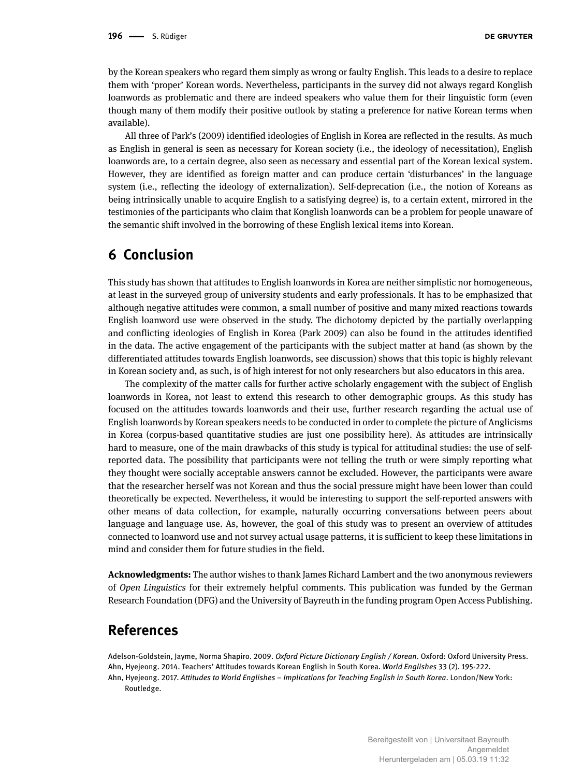by the Korean speakers who regard them simply as wrong or faulty English. This leads to a desire to replace them with 'proper' Korean words. Nevertheless, participants in the survey did not always regard Konglish loanwords as problematic and there are indeed speakers who value them for their linguistic form (even though many of them modify their positive outlook by stating a preference for native Korean terms when available).

All three of Park's (2009) identified ideologies of English in Korea are reflected in the results. As much as English in general is seen as necessary for Korean society (i.e., the ideology of necessitation), English loanwords are, to a certain degree, also seen as necessary and essential part of the Korean lexical system. However, they are identified as foreign matter and can produce certain 'disturbances' in the language system (i.e., reflecting the ideology of externalization). Self-deprecation (i.e., the notion of Koreans as being intrinsically unable to acquire English to a satisfying degree) is, to a certain extent, mirrored in the testimonies of the participants who claim that Konglish loanwords can be a problem for people unaware of the semantic shift involved in the borrowing of these English lexical items into Korean.

## **6 Conclusion**

This study has shown that attitudes to English loanwords in Korea are neither simplistic nor homogeneous, at least in the surveyed group of university students and early professionals. It has to be emphasized that although negative attitudes were common, a small number of positive and many mixed reactions towards English loanword use were observed in the study. The dichotomy depicted by the partially overlapping and conflicting ideologies of English in Korea (Park 2009) can also be found in the attitudes identified in the data. The active engagement of the participants with the subject matter at hand (as shown by the differentiated attitudes towards English loanwords, see discussion) shows that this topic is highly relevant in Korean society and, as such, is of high interest for not only researchers but also educators in this area.

The complexity of the matter calls for further active scholarly engagement with the subject of English loanwords in Korea, not least to extend this research to other demographic groups. As this study has focused on the attitudes towards loanwords and their use, further research regarding the actual use of English loanwords by Korean speakers needs to be conducted in order to complete the picture of Anglicisms in Korea (corpus-based quantitative studies are just one possibility here). As attitudes are intrinsically hard to measure, one of the main drawbacks of this study is typical for attitudinal studies: the use of selfreported data. The possibility that participants were not telling the truth or were simply reporting what they thought were socially acceptable answers cannot be excluded. However, the participants were aware that the researcher herself was not Korean and thus the social pressure might have been lower than could theoretically be expected. Nevertheless, it would be interesting to support the self-reported answers with other means of data collection, for example, naturally occurring conversations between peers about language and language use. As, however, the goal of this study was to present an overview of attitudes connected to loanword use and not survey actual usage patterns, it is sufficient to keep these limitations in mind and consider them for future studies in the field.

**Acknowledgments:** The author wishes to thank James Richard Lambert and the two anonymous reviewers of *Open Linguistics* for their extremely helpful comments. This publication was funded by the German Research Foundation (DFG) and the University of Bayreuth in the funding program Open Access Publishing.

## **References**

Adelson-Goldstein, Jayme, Norma Shapiro. 2009. *Oxford Picture Dictionary English / Korean*. Oxford: Oxford University Press. Ahn, Hyejeong. 2014. Teachers' Attitudes towards Korean English in South Korea. *World Englishes* 33 (2). 195-222. Ahn, Hyejeong. 2017. *Attitudes to World Englishes – Implications for Teaching English in South Korea*. London/New York:

Routledge.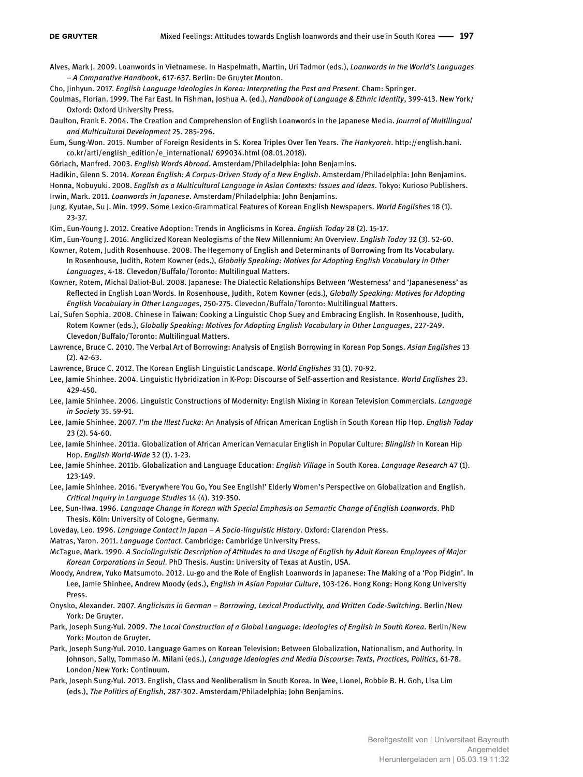- Alves, Mark J. 2009. Loanwords in Vietnamese. In Haspelmath, Martin, Uri Tadmor (eds.), *Loanwords in the World's Languages – A Comparative Handbook*, 617-637. Berlin: De Gruyter Mouton.
- Cho, Jinhyun. 2017. *English Language Ideologies in Korea: Interpreting the Past and Present*. Cham: Springer.
- Coulmas, Florian. 1999. The Far East. In Fishman, Joshua A. (ed.), *Handbook of Language & Ethnic Identity*, 399-413. New York/ Oxford: Oxford University Press.
- Daulton, Frank E. 2004. The Creation and Comprehension of English Loanwords in the Japanese Media. *Journal of Multilingual and Multicultural Development* 25. 285-296.
- Eum, Sung-Won. 2015. Number of Foreign Residents in S. Korea Triples Over Ten Years. *The Hankyoreh*. http://english.hani. co.kr/arti/english\_edition/e\_international/ 699034.html (08.01.2018).
- Görlach, Manfred. 2003. *English Words Abroad*. Amsterdam/Philadelphia: John Benjamins.
- Hadikin, Glenn S. 2014. *Korean English: A Corpus-Driven Study of a New English*. Amsterdam/Philadelphia: John Benjamins. Honna, Nobuyuki. 2008. *English as a Multicultural Language in Asian Contexts: Issues and Ideas*. Tokyo: Kurioso Publishers. Irwin, Mark. 2011. *Loanwords in Japanese*. Amsterdam/Philadelphia: John Benjamins.
- Jung, Kyutae, Su J. Min. 1999. Some Lexico-Grammatical Features of Korean English Newspapers. *World Englishes* 18 (1). 23-37.

Kim, Eun-Young J. 2012. Creative Adoption: Trends in Anglicisms in Korea. *English Today* 28 (2). 15-17.

- Kim, Eun-Young J. 2016. Anglicized Korean Neologisms of the New Millennium: An Overview. *English Today* 32 (3). 52-60.
- Kowner, Rotem, Judith Rosenhouse. 2008. The Hegemony of English and Determinants of Borrowing from Its Vocabulary. In Rosenhouse, Judith, Rotem Kowner (eds.), *Globally Speaking: Motives for Adopting English Vocabulary in Other Languages*, 4-18. Clevedon/Buffalo/Toronto: Multilingual Matters.
- Kowner, Rotem, Michal Daliot-Bul. 2008. Japanese: The Dialectic Relationships Between 'Westerness' and 'Japaneseness' as Reflected in English Loan Words. In Rosenhouse, Judith, Rotem Kowner (eds.), *Globally Speaking: Motives for Adopting English Vocabulary in Other Languages*, 250-275. Clevedon/Buffalo/Toronto: Multilingual Matters.
- Lai, Sufen Sophia. 2008. Chinese in Taiwan: Cooking a Linguistic Chop Suey and Embracing English. In Rosenhouse, Judith, Rotem Kowner (eds.), *Globally Speaking: Motives for Adopting English Vocabulary in Other Languages*, 227-249. Clevedon/Buffalo/Toronto: Multilingual Matters.
- Lawrence, Bruce C. 2010. The Verbal Art of Borrowing: Analysis of English Borrowing in Korean Pop Songs. *Asian Englishes* 13 (2). 42-63.

Lawrence, Bruce C. 2012. The Korean English Linguistic Landscape. *World Englishes* 31 (1). 70-92.

- Lee, Jamie Shinhee. 2004. Linguistic Hybridization in K-Pop: Discourse of Self-assertion and Resistance. *World Englishes* 23. 429-450.
- Lee, Jamie Shinhee. 2006. Linguistic Constructions of Modernity: English Mixing in Korean Television Commercials. *Language in Society* 35. 59-91.
- Lee, Jamie Shinhee. 2007. *I'm the Illest Fucka*: An Analysis of African American English in South Korean Hip Hop. *English Today* 23 (2). 54-60.
- Lee, Jamie Shinhee. 2011a. Globalization of African American Vernacular English in Popular Culture: *Blinglish* in Korean Hip Hop. *English World-Wide* 32 (1). 1-23.
- Lee, Jamie Shinhee. 2011b. Globalization and Language Education: *English Village* in South Korea. *Language Research* 47 (1). 123-149.
- Lee, Jamie Shinhee. 2016. 'Everywhere You Go, You See English!' Elderly Women's Perspective on Globalization and English. *Critical Inquiry in Language Studies* 14 (4). 319-350.
- Lee, Sun-Hwa. 1996. *Language Change in Korean with Special Emphasis on Semantic Change of English Loanwords*. PhD Thesis. Köln: University of Cologne, Germany.
- Loveday, Leo. 1996. *Language Contact in Japan A Socio-linguistic History*. Oxford: Clarendon Press.
- Matras, Yaron. 2011. *Language Contact*. Cambridge: Cambridge University Press.
- McTague, Mark. 1990. *A Sociolinguistic Description of Attitudes to and Usage of English by Adult Korean Employees of Major Korean Corporations in Seoul*. PhD Thesis. Austin: University of Texas at Austin, USA.
- Moody, Andrew, Yuko Matsumoto. 2012. Lu-go and the Role of English Loanwords in Japanese: The Making of a 'Pop Pidgin'. In Lee, Jamie Shinhee, Andrew Moody (eds.), *English in Asian Popular Culture*, 103-126. Hong Kong: Hong Kong University Press.
- Onysko, Alexander. 2007. *Anglicisms in German Borrowing, Lexical Productivity, and Written Code-Switching*. Berlin/New York: De Gruyter.
- Park, Joseph Sung-Yul. 2009. *The Local Construction of a Global Language: Ideologies of English in South Korea*. Berlin/New York: Mouton de Gruyter.
- Park, Joseph Sung-Yul. 2010. Language Games on Korean Television: Between Globalization, Nationalism, and Authority. In Johnson, Sally, Tommaso M. Milani (eds.), *Language Ideologies and Media Discourse*: *Texts, Practices, Politics*, 61-78. London/New York: Continuum.
- Park, Joseph Sung-Yul. 2013. English, Class and Neoliberalism in South Korea. In Wee, Lionel, Robbie B. H. Goh, Lisa Lim (eds.), *The Politics of English*, 287-302. Amsterdam/Philadelphia: John Benjamins.